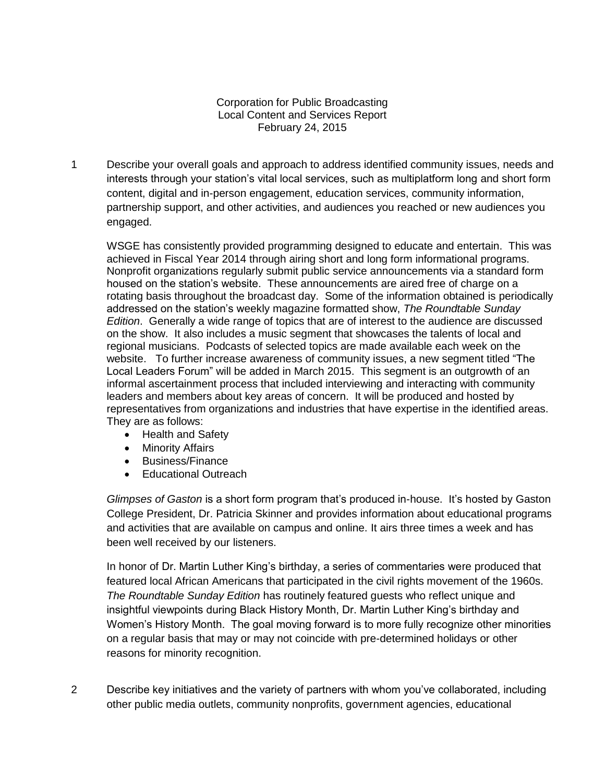## Corporation for Public Broadcasting Local Content and Services Report February 24, 2015

1 Describe your overall goals and approach to address identified community issues, needs and interests through your station's vital local services, such as multiplatform long and short form content, digital and in-person engagement, education services, community information, partnership support, and other activities, and audiences you reached or new audiences you engaged.

WSGE has consistently provided programming designed to educate and entertain. This was achieved in Fiscal Year 2014 through airing short and long form informational programs. Nonprofit organizations regularly submit public service announcements via a standard form housed on the station's website. These announcements are aired free of charge on a rotating basis throughout the broadcast day. Some of the information obtained is periodically addressed on the station's weekly magazine formatted show, *The Roundtable Sunday Edition*. Generally a wide range of topics that are of interest to the audience are discussed on the show. It also includes a music segment that showcases the talents of local and regional musicians. Podcasts of selected topics are made available each week on the website. To further increase awareness of community issues, a new segment titled "The Local Leaders Forum" will be added in March 2015. This segment is an outgrowth of an informal ascertainment process that included interviewing and interacting with community leaders and members about key areas of concern. It will be produced and hosted by representatives from organizations and industries that have expertise in the identified areas. They are as follows:

- Health and Safety
- Minority Affairs
- Business/Finance
- Educational Outreach

*Glimpses of Gaston* is a short form program that's produced in-house. It's hosted by Gaston College President, Dr. Patricia Skinner and provides information about educational programs and activities that are available on campus and online. It airs three times a week and has been well received by our listeners.

In honor of Dr. Martin Luther King's birthday, a series of commentaries were produced that featured local African Americans that participated in the civil rights movement of the 1960s. *The Roundtable Sunday Edition* has routinely featured guests who reflect unique and insightful viewpoints during Black History Month, Dr. Martin Luther King's birthday and Women's History Month. The goal moving forward is to more fully recognize other minorities on a regular basis that may or may not coincide with pre-determined holidays or other reasons for minority recognition.

2 Describe key initiatives and the variety of partners with whom you've collaborated, including other public media outlets, community nonprofits, government agencies, educational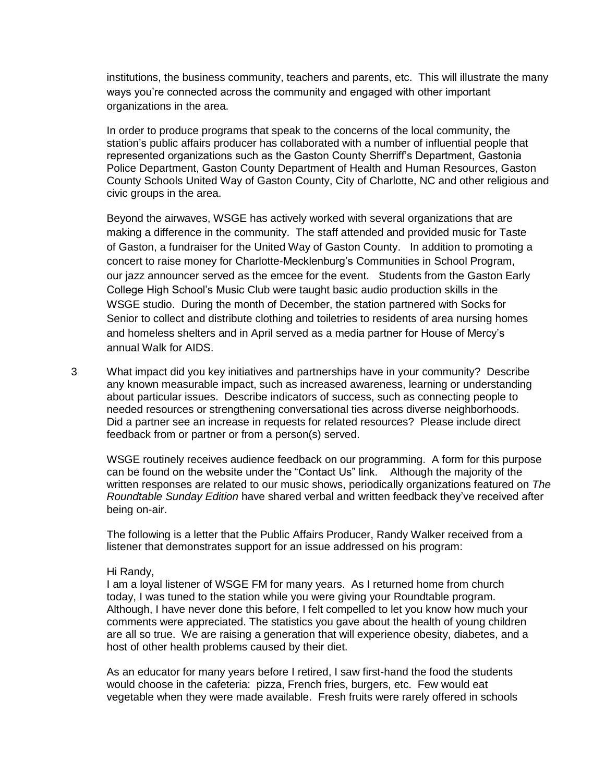institutions, the business community, teachers and parents, etc. This will illustrate the many ways you're connected across the community and engaged with other important organizations in the area.

In order to produce programs that speak to the concerns of the local community, the station's public affairs producer has collaborated with a number of influential people that represented organizations such as the Gaston County Sherriff's Department, Gastonia Police Department, Gaston County Department of Health and Human Resources, Gaston County Schools United Way of Gaston County, City of Charlotte, NC and other religious and civic groups in the area.

Beyond the airwaves, WSGE has actively worked with several organizations that are making a difference in the community. The staff attended and provided music for Taste of Gaston, a fundraiser for the United Way of Gaston County. In addition to promoting a concert to raise money for Charlotte-Mecklenburg's Communities in School Program, our jazz announcer served as the emcee for the event. Students from the Gaston Early College High School's Music Club were taught basic audio production skills in the WSGE studio. During the month of December, the station partnered with Socks for Senior to collect and distribute clothing and toiletries to residents of area nursing homes and homeless shelters and in April served as a media partner for House of Mercy's annual Walk for AIDS.

3 What impact did you key initiatives and partnerships have in your community? Describe any known measurable impact, such as increased awareness, learning or understanding about particular issues. Describe indicators of success, such as connecting people to needed resources or strengthening conversational ties across diverse neighborhoods. Did a partner see an increase in requests for related resources? Please include direct feedback from or partner or from a person(s) served.

WSGE routinely receives audience feedback on our programming. A form for this purpose can be found on the website under the "Contact Us" link. Although the majority of the written responses are related to our music shows, periodically organizations featured on *The Roundtable Sunday Edition* have shared verbal and written feedback they've received after being on-air.

The following is a letter that the Public Affairs Producer, Randy Walker received from a listener that demonstrates support for an issue addressed on his program:

## Hi Randy,

I am a loyal listener of WSGE FM for many years. As I returned home from church today, I was tuned to the station while you were giving your Roundtable program. Although, I have never done this before, I felt compelled to let you know how much your comments were appreciated. The statistics you gave about the health of young children are all so true. We are raising a generation that will experience obesity, diabetes, and a host of other health problems caused by their diet.

As an educator for many years before I retired, I saw first-hand the food the students would choose in the cafeteria: pizza, French fries, burgers, etc. Few would eat vegetable when they were made available. Fresh fruits were rarely offered in schools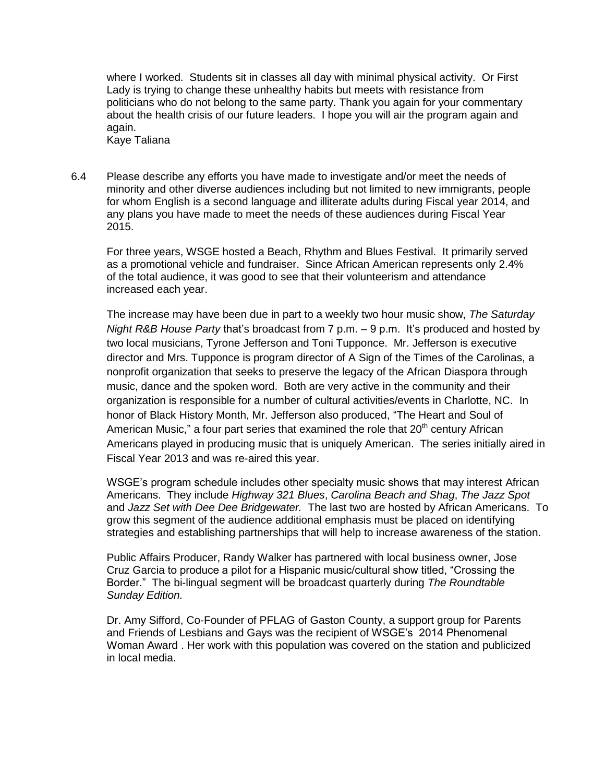where I worked. Students sit in classes all day with minimal physical activity. Or First Lady is trying to change these unhealthy habits but meets with resistance from politicians who do not belong to the same party. Thank you again for your commentary about the health crisis of our future leaders. I hope you will air the program again and again.

- Kaye Taliana
- 6.4 Please describe any efforts you have made to investigate and/or meet the needs of minority and other diverse audiences including but not limited to new immigrants, people for whom English is a second language and illiterate adults during Fiscal year 2014, and any plans you have made to meet the needs of these audiences during Fiscal Year 2015.

For three years, WSGE hosted a Beach, Rhythm and Blues Festival. It primarily served as a promotional vehicle and fundraiser. Since African American represents only 2.4% of the total audience, it was good to see that their volunteerism and attendance increased each year.

The increase may have been due in part to a weekly two hour music show, *The Saturday Night R&B House Party* that's broadcast from 7 p.m. – 9 p.m. It's produced and hosted by two local musicians, Tyrone Jefferson and Toni Tupponce. Mr. Jefferson is executive director and Mrs. Tupponce is program director of A Sign of the Times of the Carolinas, a nonprofit organization that seeks to preserve the legacy of the African Diaspora through music, dance and the spoken word. Both are very active in the community and their organization is responsible for a number of cultural activities/events in Charlotte, NC. In honor of Black History Month, Mr. Jefferson also produced, "The Heart and Soul of American Music," a four part series that examined the role that  $20<sup>th</sup>$  century African Americans played in producing music that is uniquely American. The series initially aired in Fiscal Year 2013 and was re-aired this year.

WSGE's program schedule includes other specialty music shows that may interest African Americans. They include *Highway 321 Blues*, *Carolina Beach and Shag*, *The Jazz Spot* and *Jazz Set with Dee Dee Bridgewater.* The last two are hosted by African Americans. To grow this segment of the audience additional emphasis must be placed on identifying strategies and establishing partnerships that will help to increase awareness of the station.

Public Affairs Producer, Randy Walker has partnered with local business owner, Jose Cruz Garcia to produce a pilot for a Hispanic music/cultural show titled, "Crossing the Border." The bi-lingual segment will be broadcast quarterly during *The Roundtable Sunday Edition.*

Dr. Amy Sifford, Co-Founder of PFLAG of Gaston County, a support group for Parents and Friends of Lesbians and Gays was the recipient of WSGE's 2014 Phenomenal Woman Award . Her work with this population was covered on the station and publicized in local media.